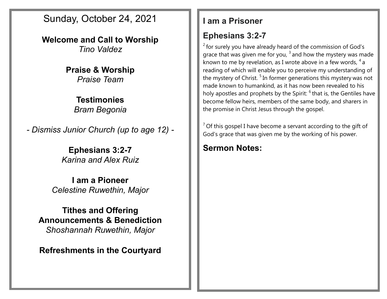Sunday, October 24, 2021

**Welcome and Call to Worship** *Tino Valdez*

> **Praise & Worship** *Praise Team*

> > **Testimonies** *Bram Begonia*

*- Dismiss Junior Church (up to age 12) -*

**Ephesians 3:2-7** *Karina and Alex Ruiz*

**I am a Pioneer** *Celestine Ruwethin, Major*

**Tithes and Offering Announcements & Benediction** *Shoshannah Ruwethin, Major*

**Refreshments in the Courtyard**

### **I am a Prisoner**

## **Ephesians 3:2-7**

 $2$  for surely you have already heard of the commission of God's grace that was given me for you,  $3$  and how the mystery was made known to me by revelation, as I wrote above in a few words,  $^4$  a reading of which will enable you to perceive my understanding of the mystery of Christ.<sup>5</sup> In former generations this mystery was not made known to humankind, as it has now been revealed to his holy apostles and prophets by the Spirit: <sup>6</sup> that is, the Gentiles have become fellow heirs, members of the same body, and sharers in the promise in Christ Jesus through the gospel.

 $<sup>7</sup>$  Of this gospel I have become a servant according to the gift of</sup> God's grace that was given me by the working of his power.

## **Sermon Notes:**